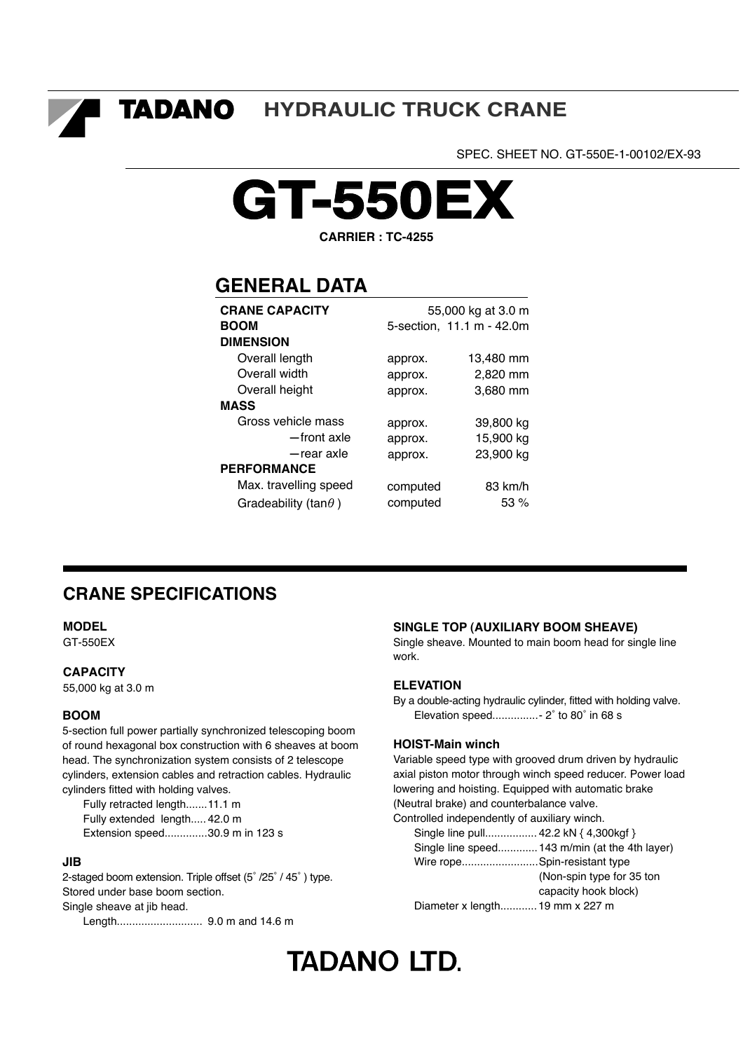TADANO **HYDRAULIC TRUCK CRANE**

SPEC. SHEET NO. GT-550E-1-00102/EX-93



**CARRIER : TC-4255**

# **GENERAL DATA**

| <b>CRANE CAPACITY</b>        | 55,000 kg at 3.0 m |                           |  |  |
|------------------------------|--------------------|---------------------------|--|--|
| <b>BOOM</b>                  |                    | 5-section, 11.1 m - 42.0m |  |  |
| <b>DIMENSION</b>             |                    |                           |  |  |
| Overall length               | approx.            | 13,480 mm                 |  |  |
| Overall width                | approx.            | 2,820 mm                  |  |  |
| Overall height               | approx.            | 3,680 mm                  |  |  |
| <b>MASS</b>                  |                    |                           |  |  |
| Gross vehicle mass           | approx.            | 39,800 kg                 |  |  |
| -front axle                  | approx.            | 15,900 kg                 |  |  |
| -rear axle                   | approx.            | 23,900 kg                 |  |  |
| <b>PERFORMANCE</b>           |                    |                           |  |  |
| Max. travelling speed        | computed           | 83 km/h                   |  |  |
| Gradeability (tan $\theta$ ) | computed           | 53%                       |  |  |

# **CRANE SPECIFICATIONS**

**MODEL**

GT-550EX

#### **CAPACITY**

55,000 kg at 3.0 m

#### **BOOM**

5-section full power partially synchronized telescoping boom of round hexagonal box construction with 6 sheaves at boom head. The synchronization system consists of 2 telescope cylinders, extension cables and retraction cables. Hydraulic cylinders fitted with holding valves.

 Fully retracted length....... 11.1 m Fully extended length..... 42.0 m Extension speed.............. 30.9 m in 123 s

#### **JIB**

2-staged boom extension. Triple offset (5˚ /25˚ / 45˚ ) type. Stored under base boom section. Single sheave at jib head.

Length............................ 9.0 m and 14.6 m

#### **SINGLE TOP (AUXILIARY BOOM SHEAVE)**

Single sheave. Mounted to main boom head for single line work.

#### **ELEVATION**

By a double-acting hydraulic cylinder, fitted with holding valve. Elevation speed............... - 2˚ to 80˚ in 68 s

#### **HOIST-Main winch**

Variable speed type with grooved drum driven by hydraulic axial piston motor through winch speed reducer. Power load lowering and hoisting. Equipped with automatic brake (Neutral brake) and counterbalance valve. Controlled independently of auxiliary winch.

| Single line pull 42.2 kN { 4,300kgf } |                                                |
|---------------------------------------|------------------------------------------------|
|                                       | Single line speed 143 m/min (at the 4th layer) |
| Wire ropeSpin-resistant type          |                                                |
|                                       | (Non-spin type for 35 ton                      |
|                                       | capacity hook block)                           |
| Diameter x length 19 mm x 227 m       |                                                |

# **TADANO LTD.**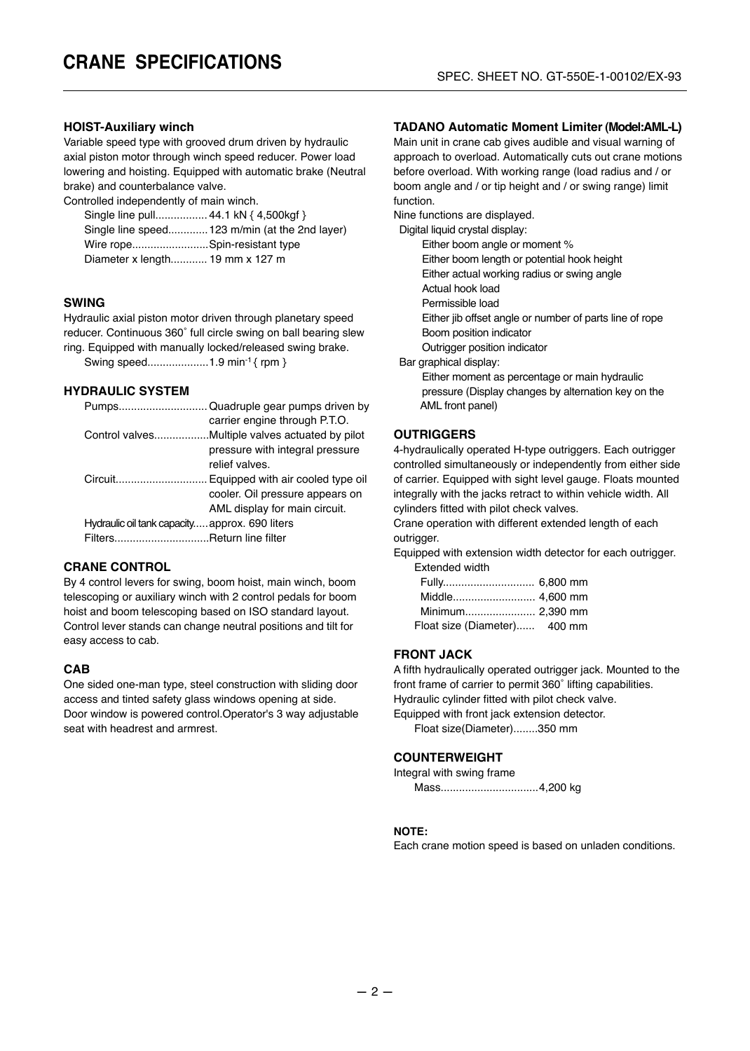## **HOIST-Auxiliary winch**

Variable speed type with grooved drum driven by hydraulic axial piston motor through winch speed reducer. Power load lowering and hoisting. Equipped with automatic brake (Neutral brake) and counterbalance valve.

Controlled independently of main winch.

| Single line pull 44.1 kN { 4,500kgf } |                                                |
|---------------------------------------|------------------------------------------------|
|                                       | Single line speed 123 m/min (at the 2nd layer) |
| Wire ropeSpin-resistant type          |                                                |
| Diameter x length 19 mm x 127 m       |                                                |

#### **SWING**

Hydraulic axial piston motor driven through planetary speed reducer. Continuous 360˚ full circle swing on ball bearing slew ring. Equipped with manually locked/released swing brake.

Swing speed........................... 1.9 min<sup>-1</sup> { rpm }

#### **HYDRAULIC SYSTEM**

|                                                | carrier engine through P.T.O.   |
|------------------------------------------------|---------------------------------|
|                                                |                                 |
|                                                | pressure with integral pressure |
|                                                | relief valves.                  |
|                                                |                                 |
|                                                | cooler. Oil pressure appears on |
|                                                | AML display for main circuit.   |
| Hydraulic oil tank capacity approx. 690 liters |                                 |
| FiltersReturn line filter                      |                                 |
|                                                |                                 |

#### **CRANE CONTROL**

By 4 control levers for swing, boom hoist, main winch, boom telescoping or auxiliary winch with 2 control pedals for boom hoist and boom telescoping based on ISO standard layout. Control lever stands can change neutral positions and tilt for easy access to cab.

#### **CAB**

One sided one-man type, steel construction with sliding door access and tinted safety glass windows opening at side. Door window is powered control.Operator's 3 way adjustable seat with headrest and armrest.

#### **TADANO Automatic Moment Limiter (Model:AML-L)**

Main unit in crane cab gives audible and visual warning of approach to overload. Automatically cuts out crane motions before overload. With working range (load radius and / or boom angle and / or tip height and / or swing range) limit function.

Nine functions are displayed.

Digital liquid crystal display:

Either boom angle or moment %

Either boom length or potential hook height

Either actual working radius or swing angle

Actual hook load

Permissible load

Either jib offset angle or number of parts line of rope

Boom position indicator

Outrigger position indicator

Bar graphical display:

 Either moment as percentage or main hydraulic pressure (Display changes by alternation key on the AML front panel)

#### **OUTRIGGERS**

4-hydraulically operated H-type outriggers. Each outrigger controlled simultaneously or independently from either side of carrier. Equipped with sight level gauge. Floats mounted integrally with the jacks retract to within vehicle width. All cylinders fitted with pilot check valves.

Crane operation with different extended length of each outrigger.

Equipped with extension width detector for each outrigger. Extended width

| Float size (Diameter) 400 mm |  |
|------------------------------|--|

#### **FRONT JACK**

A fifth hydraulically operated outrigger jack. Mounted to the front frame of carrier to permit 360˚ lifting capabilities. Hydraulic cylinder fitted with pilot check valve. Equipped with front jack extension detector.

Float size(Diameter)........350 mm

#### **COUNTERWEIGHT**

Integral with swing frame

Mass................................ 4,200 kg

#### **NOTE:**

Each crane motion speed is based on unladen conditions.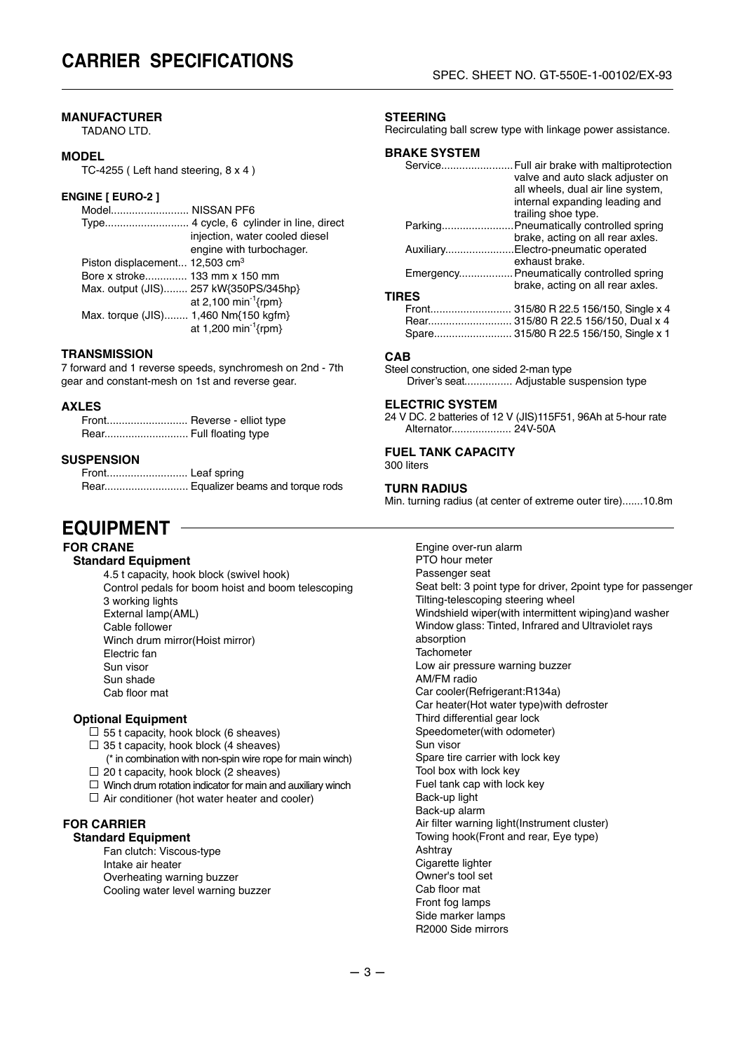## **MANUFACTURER**

TADANO LTD.

#### **MODEL**

TC-4255 ( Left hand steering, 8 x 4 )

#### **ENGINE [ EURO-2 ]**

| Model NISSAN PF6                           |                                       |
|--------------------------------------------|---------------------------------------|
|                                            |                                       |
|                                            | injection, water cooled diesel        |
|                                            | engine with turbochager.              |
| Piston displacement 12,503 cm <sup>3</sup> |                                       |
| Bore x stroke 133 mm x 150 mm              |                                       |
|                                            | Max. output (JIS) 257 kW{350PS/345hp} |
|                                            | at 2,100 min <sup>-1</sup> {rpm}      |
| Max. torque (JIS) 1,460 Nm{150 kgfm}       |                                       |
|                                            | at 1,200 min <sup>-1</sup> {rpm}      |

#### **TRANSMISSION**

7 forward and 1 reverse speeds, synchromesh on 2nd - 7th gear and constant-mesh on 1st and reverse gear.

#### **AXLES**

| Front Reverse - elliot type |
|-----------------------------|
|                             |

#### **SUSPENSION**

 Front........................... Leaf spring Rear............................ Equalizer beams and torque rods

# **EQUIPMENT**

## **FOR CRANE**

**Standard Equipment**

4.5 t capacity, hook block (swivel hook) Control pedals for boom hoist and boom telescoping 3 working lights External lamp(AML) Cable follower Winch drum mirror(Hoist mirror) Electric fan Sun visor Sun shade Cab floor mat

#### **Optional Equipment**

- $\Box$  55 t capacity, hook block (6 sheaves)
- $\Box$  35 t capacity, hook block (4 sheaves)
- (\* in combination with non-spin wire rope for main winch)  $\Box$  20 t capacity, hook block (2 sheaves)
- $\Box$  Winch drum rotation indicator for main and auxiliary winch
- $\Box$  Air conditioner (hot water heater and cooler)
- 

#### **FOR CARRIER Standard Equipment**

Fan clutch: Viscous-type Intake air heater Overheating warning buzzer Cooling water level warning buzzer

#### **STEERING**

Recirculating ball screw type with linkage power assistance.

#### **BRAKE SYSTEM**

| Service      | Full air brake with maltiprotection       |
|--------------|-------------------------------------------|
|              | valve and auto slack adjuster on          |
|              | all wheels, dual air line system,         |
|              | internal expanding leading and            |
|              | trailing shoe type.                       |
| Parking      | Pneumatically controlled spring           |
|              | brake, acting on all rear axles.          |
| Auxiliary    | Electro-pneumatic operated                |
|              | exhaust brake.                            |
|              | Emergency Pneumatically controlled spring |
|              | brake, acting on all rear axles.          |
| <b>TIRES</b> |                                           |
| Front        | 315/80 R 22.5 156/150, Single x 4         |
| Rear         | 315/80 R 22.5 156/150, Dual x 4           |
|              | Spare 315/80 R 22.5 156/150, Single x 1   |
|              |                                           |

#### **CAB**

Steel construction, one sided 2-man type Driver's seat................ Adjustable suspension type

#### **ELECTRIC SYSTEM**

24 V DC. 2 batteries of 12 V (JIS)115F51, 96Ah at 5-hour rate Alternator.................... 24V-50A

# **FUEL TANK CAPACITY**

300 liters

#### **TURN RADIUS**

Min. turning radius (at center of extreme outer tire).......10.8m

Engine over-run alarm PTO hour meter Passenger seat Seat belt: 3 point type for driver, 2point type for passenger Tilting-telescoping steering wheel Windshield wiper(with intermittent wiping)and washer Window glass: Tinted, Infrared and Ultraviolet rays absorption **Tachometer** Low air pressure warning buzzer AM/FM radio Car cooler(Refrigerant:R134a) Car heater(Hot water type)with defroster Third differential gear lock Speedometer(with odometer) Sun visor Spare tire carrier with lock key Tool box with lock key Fuel tank cap with lock key Back-up light Back-up alarm Air filter warning light(Instrument cluster) Towing hook(Front and rear, Eye type) Ashtray Cigarette lighter Owner's tool set Cab floor mat Front fog lamps Side marker lamps R2000 Side mirrors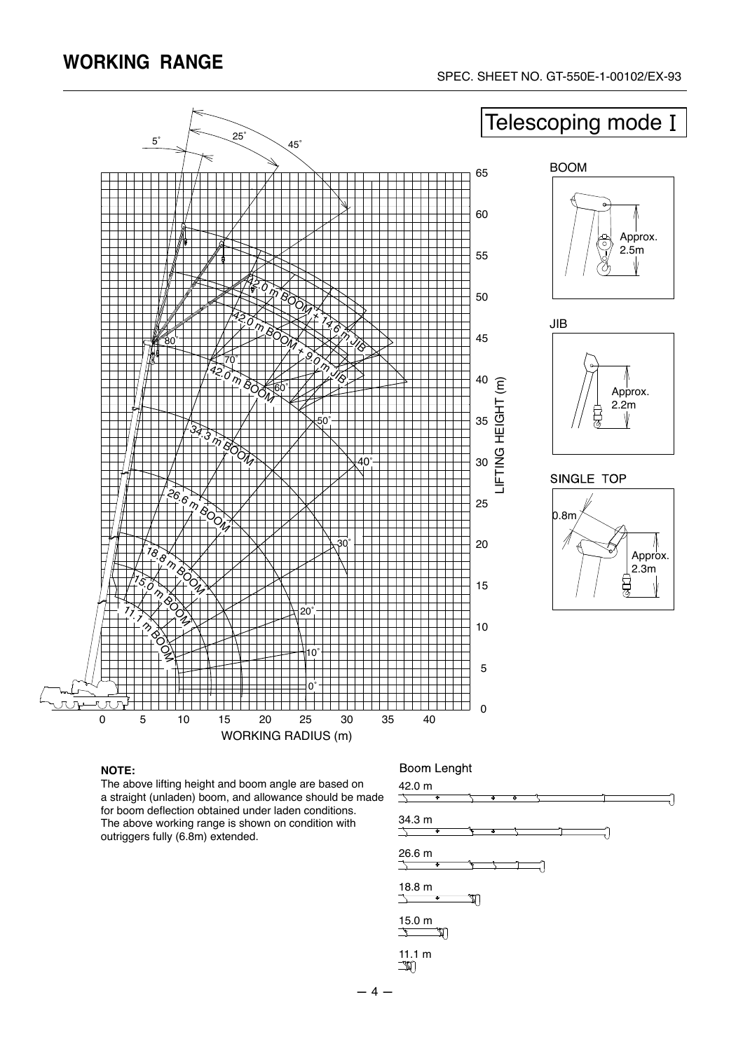

#### **NOTE:**

The above lifting height and boom angle are based on a straight (unladen) boom, and allowance should be made for boom deflection obtained under laden conditions. The above working range is shown on condition with outriggers fully (6.8m) extended.

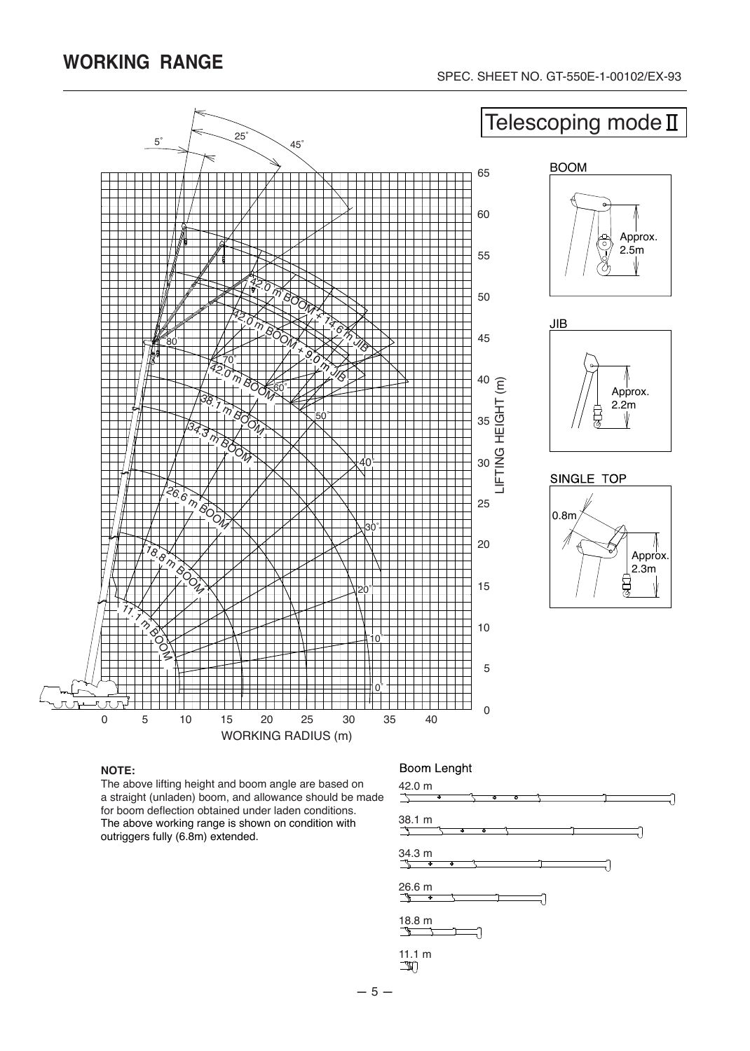

#### **NOTE:**

The above lifting height and boom angle are based on a straight (unladen) boom, and allowance should be made for boom deflection obtained under laden conditions. The above working range is shown on condition with outriggers fully (6.8m) extended.

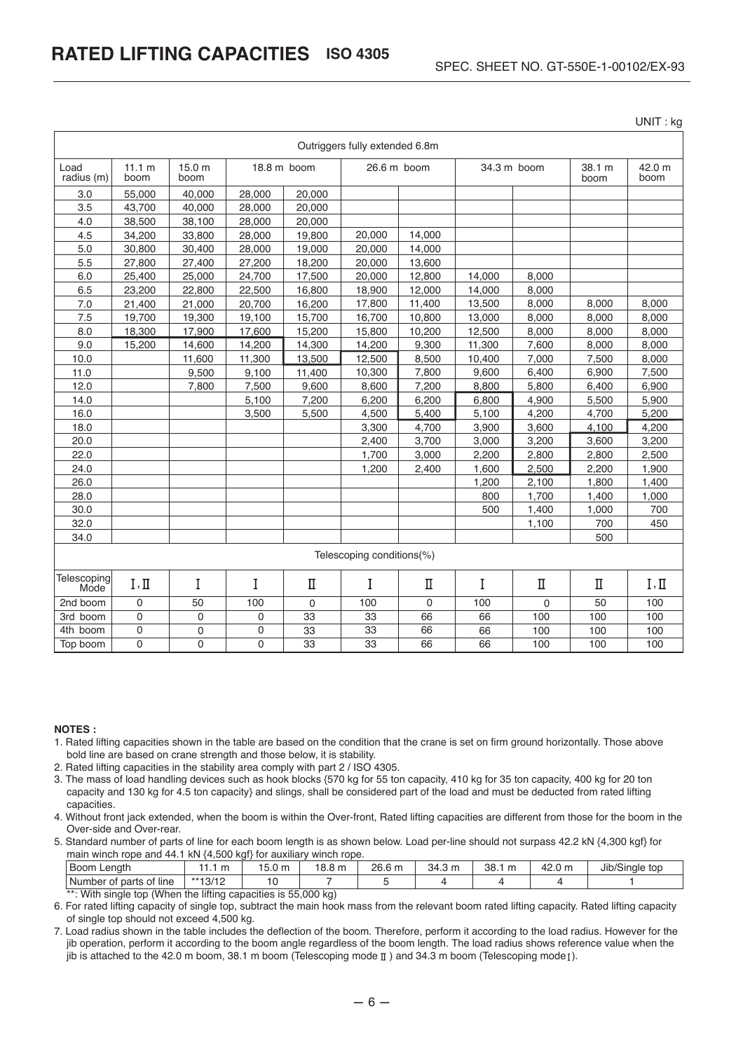UNIT : kg

| Outriggers fully extended 6.8m |                           |                |                |             |                 |        |             |             |                |                |
|--------------------------------|---------------------------|----------------|----------------|-------------|-----------------|--------|-------------|-------------|----------------|----------------|
| Load<br>radius (m)             | 11.1 m<br>boom            | 15.0 m<br>boom |                | 18.8 m boom | 26.6 m boom     |        | 34.3 m boom |             | 38.1 m<br>boom | 42.0 m<br>boom |
| 3.0                            | 55.000                    | 40.000         | 28.000         | 20,000      |                 |        |             |             |                |                |
| 3.5                            | 43,700                    | 40.000         | 28,000         | 20,000      |                 |        |             |             |                |                |
| 4.0                            | 38,500                    | 38,100         | 28,000         | 20,000      |                 |        |             |             |                |                |
| 4.5                            | 34,200                    | 33,800         | 28,000         | 19,800      | 20,000          | 14,000 |             |             |                |                |
| 5.0                            | 30,800                    | 30,400         | 28,000         | 19,000      | 20,000          | 14,000 |             |             |                |                |
| 5.5                            | 27,800                    | 27,400         | 27,200         | 18,200      | 20,000          | 13,600 |             |             |                |                |
| 6.0                            | 25,400                    | 25,000         | 24,700         | 17,500      | 20,000          | 12,800 | 14,000      | 8,000       |                |                |
| 6.5                            | 23,200                    | 22,800         | 22,500         | 16,800      | 18,900          | 12,000 | 14,000      | 8,000       |                |                |
| 7.0                            | 21,400                    | 21,000         | 20,700         | 16,200      | 17,800          | 11,400 | 13,500      | 8,000       | 8,000          | 8,000          |
| 7.5                            | 19,700                    | 19,300         | 19,100         | 15,700      | 16,700          | 10,800 | 13,000      | 8,000       | 8,000          | 8,000          |
| 8.0                            | 18,300                    | 17,900         | 17,600         | 15,200      | 15,800          | 10,200 | 12,500      | 8,000       | 8,000          | 8,000          |
| 9.0                            | 15,200                    | 14,600         | 14,200         | 14,300      | 14,200          | 9,300  | 11,300      | 7,600       | 8,000          | 8,000          |
| 10.0                           |                           | 11,600         | 11,300         | 13,500      | 12,500          | 8,500  | 10,400      | 7,000       | 7,500          | 8,000          |
| 11.0                           |                           | 9,500          | 9,100          | 11,400      | 10,300          | 7,800  | 9,600       | 6,400       | 6,900          | 7,500          |
| 12.0                           |                           | 7,800          | 7,500          | 9,600       | 8,600           | 7,200  | 8,800       | 5,800       | 6,400          | 6,900          |
| 14.0                           |                           |                | 5,100          | 7,200       | 6,200           | 6,200  | 6,800       | 4,900       | 5,500          | 5,900          |
| 16.0                           |                           |                | 3,500          | 5,500       | 4,500           | 5,400  | 5,100       | 4,200       | 4,700          | 5,200          |
| 18.0                           |                           |                |                |             | 3,300           | 4,700  | 3,900       | 3,600       | 4,100          | 4,200          |
| 20.0                           |                           |                |                |             | 2,400           | 3,700  | 3,000       | 3,200       | 3,600          | 3,200          |
| 22.0                           |                           |                |                |             | 1,700           | 3,000  | 2,200       | 2,800       | 2,800          | 2,500          |
| 24.0                           |                           |                |                |             | 1,200           | 2,400  | 1,600       | 2,500       | 2,200          | 1,900          |
| 26.0                           |                           |                |                |             |                 |        | 1,200       | 2,100       | 1,800          | 1,400          |
| 28.0                           |                           |                |                |             |                 |        | 800         | 1,700       | 1,400          | 1,000          |
| 30.0                           |                           |                |                |             |                 |        | 500         | 1,400       | 1,000          | 700            |
| 32.0                           |                           |                |                |             |                 |        |             | 1,100       | 700            | 450            |
| 34.0                           |                           |                |                |             |                 |        |             |             | 500            |                |
|                                | Telescoping conditions(%) |                |                |             |                 |        |             |             |                |                |
| Telescoping<br>Mode            | I, II                     | I              | I              | Π           | I               | П      | Ι           | Π           | П              | I, II          |
| 2nd boom                       | 0                         | 50             | 100            | $\mathbf 0$ | 100             | 0      | 100         | $\mathbf 0$ | 50             | 100            |
| 3rd boom                       | $\mathbf 0$               | 0              | $\mathbf 0$    | 33          | 33              | 66     | 66          | 100         | 100            | 100            |
| 4th boom                       | $\mathbf 0$               | 0              | $\mathbf 0$    | 33          | $\overline{33}$ | 66     | 66          | 100         | 100            | 100            |
| Top boom                       | $\overline{0}$            | 0              | $\overline{0}$ | 33          | 33              | 66     | 66          | 100         | 100            | 100            |

#### **NOTES :**

- 1. Rated lifting capacities shown in the table are based on the condition that the crane is set on firm ground horizontally. Those above bold line are based on crane strength and those below, it is stability.
- 2. Rated lifting capacities in the stability area comply with part 2 / ISO 4305.
- 3. The mass of load handling devices such as hook blocks {570 kg for 55 ton capacity, 410 kg for 35 ton capacity, 400 kg for 20 ton capacity and 130 kg for 4.5 ton capacity} and slings, shall be considered part of the load and must be deducted from rated lifting capacities.
- 4. Without front jack extended, when the boom is within the Over-front, Rated lifting capacities are different from those for the boom in the Over-side and Over-rear.
- 5. Standard number of parts of line for each boom length is as shown below. Load per-line should not surpass 42.2 kN {4,300 kgf} for main winch rope and 44.1 kN {4,500 kgf} for auxiliary winch rope.

| Boom<br>Lenath                                                                                    | w<br>                 | $\sim$<br>$\sim$<br>3.011 | 18.8<br>m | 26.6<br>6 m | 34.3 m | 38.1<br>$\sim$ | $\overline{\phantom{a}}$<br>m<br>42.U | Jib/Single top |  |
|---------------------------------------------------------------------------------------------------|-----------------------|---------------------------|-----------|-------------|--------|----------------|---------------------------------------|----------------|--|
| Number<br>line<br>. ot<br>of parts                                                                | $**40/4C$<br>ے ו ہی ا |                           |           |             |        |                |                                       |                |  |
| 1996 A Miller a local articles of A Marace Alara, 1994 local area and Marace Lan<br>0.001<br>$ -$ |                       |                           |           |             |        |                |                                       |                |  |

 $\therefore$  With single top (When the lifting capacities is 55,000 kg) 6. For rated lifting capacity of single top, subtract the main hook mass from the relevant boom rated lifting capacity. Rated lifting capacity of single top should not exceed 4,500 kg.

7. Load radius shown in the table includes the deflection of the boom. Therefore, perform it according to the load radius. However for the jib operation, perform it according to the boom angle regardless of the boom length. The load radius shows reference value when the jib is attached to the 42.0 m boom, 38.1 m boom (Telescoping mode  $\mathbb I$  ) and 34.3 m boom (Telescoping mode  $\mathbb I$ ).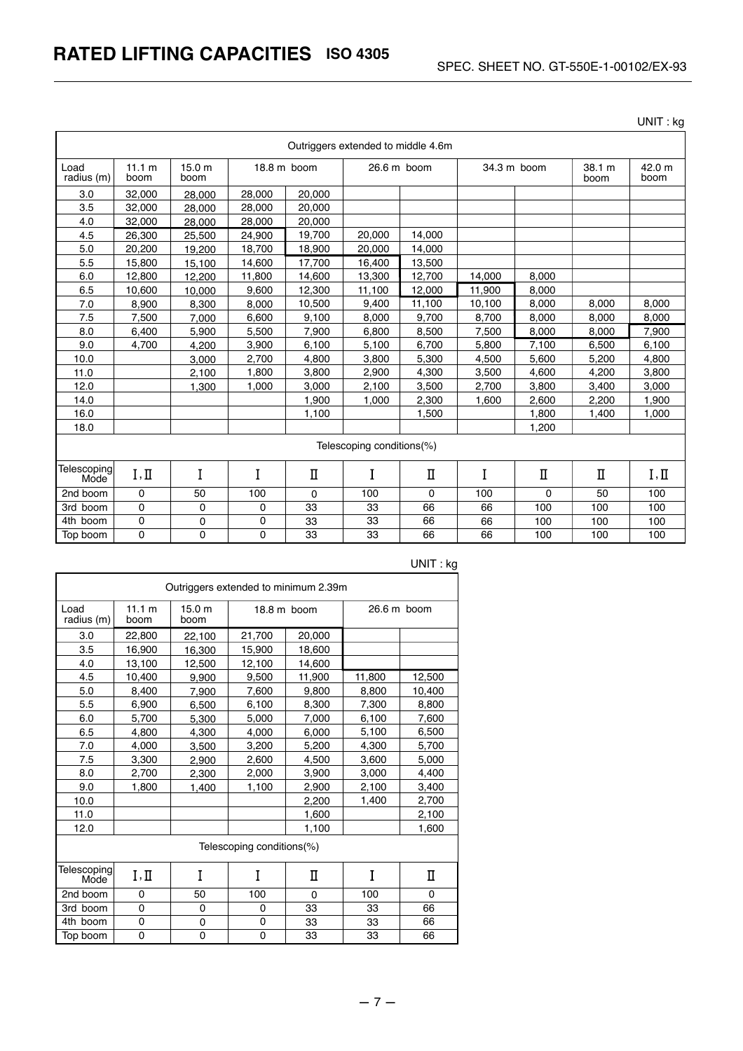UNIT : kg

| Outriggers extended to middle 4.6m |                           |                |        |             |             |             |             |          |                |                |
|------------------------------------|---------------------------|----------------|--------|-------------|-------------|-------------|-------------|----------|----------------|----------------|
| Load<br>radius (m)                 | 11.1 m<br>boom            | 15.0 m<br>boom |        | 18.8 m boom | 26.6 m boom |             | 34.3 m boom |          | 38.1 m<br>boom | 42.0 m<br>boom |
| 3.0                                | 32,000                    | 28,000         | 28,000 | 20,000      |             |             |             |          |                |                |
| 3.5                                | 32,000                    | 28.000         | 28,000 | 20,000      |             |             |             |          |                |                |
| 4.0                                | 32,000                    | 28.000         | 28,000 | 20,000      |             |             |             |          |                |                |
| 4.5                                | 26,300                    | 25,500         | 24,900 | 19,700      | 20,000      | 14.000      |             |          |                |                |
| 5.0                                | 20,200                    | 19,200         | 18,700 | 18,900      | 20.000      | 14,000      |             |          |                |                |
| 5.5                                | 15,800                    | 15,100         | 14,600 | 17,700      | 16,400      | 13,500      |             |          |                |                |
| 6.0                                | 12,800                    | 12,200         | 11,800 | 14,600      | 13,300      | 12,700      | 14,000      | 8,000    |                |                |
| 6.5                                | 10.600                    | 10,000         | 9.600  | 12.300      | 11.100      | 12.000      | 11,900      | 8.000    |                |                |
| 7.0                                | 8.900                     | 8,300          | 8,000  | 10,500      | 9.400       | 11,100      | 10,100      | 8.000    | 8.000          | 8,000          |
| 7.5                                | 7,500                     | 7.000          | 6,600  | 9,100       | 8.000       | 9.700       | 8.700       | 8.000    | 8.000          | 8,000          |
| 8.0                                | 6,400                     | 5.900          | 5,500  | 7,900       | 6,800       | 8,500       | 7,500       | 8,000    | 8,000          | 7,900          |
| 9.0                                | 4,700                     | 4.200          | 3,900  | 6,100       | 5,100       | 6,700       | 5,800       | 7,100    | 6,500          | 6,100          |
| 10.0                               |                           | 3,000          | 2,700  | 4,800       | 3,800       | 5,300       | 4,500       | 5,600    | 5,200          | 4,800          |
| 11.0                               |                           | 2,100          | 1,800  | 3,800       | 2.900       | 4,300       | 3,500       | 4.600    | 4,200          | 3,800          |
| 12.0                               |                           | 1.300          | 1,000  | 3,000       | 2,100       | 3,500       | 2,700       | 3,800    | 3,400          | 3,000          |
| 14.0                               |                           |                |        | 1,900       | 1,000       | 2,300       | 1,600       | 2,600    | 2,200          | 1,900          |
| 16.0                               |                           |                |        | 1,100       |             | 1,500       |             | 1,800    | 1,400          | 1,000          |
| 18.0                               |                           |                |        |             |             |             |             | 1,200    |                |                |
|                                    | Telescoping conditions(%) |                |        |             |             |             |             |          |                |                |
| Telescoping<br>Mode <sup>`</sup>   | I, II                     | I              | I      | $\mathbf I$ | I           | $\mathbf I$ | I           | Π        | Π              | I, II          |
| 2nd boom                           | 0                         | 50             | 100    | $\Omega$    | 100         | $\mathbf 0$ | 100         | $\Omega$ | 50             | 100            |
| 3rd boom                           | 0                         | 0              | 0      | 33          | 33          | 66          | 66          | 100      | 100            | 100            |
| 4th boom                           | 0                         | 0              | 0      | 33          | 33          | 66          | 66          | 100      | 100            | 100            |
| Top boom                           | 0                         | 0              | 0      | 33          | 33          | 66          | 66          | 100      | 100            | 100            |

| Outriggers extended to minimum 2.39m |                |                           |                           |                       |                       |          |  |  |
|--------------------------------------|----------------|---------------------------|---------------------------|-----------------------|-----------------------|----------|--|--|
| Load<br>radius (m)                   | 11.1 m<br>boom | 15.0 <sub>m</sub><br>boom |                           | $18.8 \text{ m}$ boom | $26.6 \text{ m}$ boom |          |  |  |
| 3.0                                  | 22,800         | 22,100                    | 21,700                    | 20,000                |                       |          |  |  |
| 3.5                                  | 16,900         | 16,300                    | 15,900                    | 18,600                |                       |          |  |  |
| 4.0                                  | 13.100         | 12,500                    | 12.100                    | 14.600                |                       |          |  |  |
| 4.5                                  | 10,400         | 9,900                     | 9,500                     | 11,900                | 11,800                | 12,500   |  |  |
| 5.0                                  | 8,400          | 7,900                     | 7,600                     | 9,800                 | 8,800                 | 10,400   |  |  |
| 5.5                                  | 6,900          | 6,500                     | 6,100                     | 8,300                 | 7,300                 | 8,800    |  |  |
| 6.0                                  | 5,700          | 5,300                     | 5,000                     | 7,000                 | 6,100                 | 7,600    |  |  |
| 6.5                                  | 4,800          | 4,300                     | 4,000                     | 6,000                 | 5,100                 | 6,500    |  |  |
| 7.0                                  | 4,000          | 3,500                     | 3,200                     | 5,200                 | 4,300                 | 5,700    |  |  |
| 7.5                                  | 3,300          | 2,900                     | 2,600                     | 4,500                 | 3,600                 | 5,000    |  |  |
| 8.0                                  | 2,700          | 2,300                     | 2,000                     | 3,900                 | 3,000                 | 4,400    |  |  |
| 9.0                                  | 1,800          | 1.400                     | 1,100                     | 2,900                 | 2,100                 | 3,400    |  |  |
| 10.0                                 |                |                           |                           | 2,200                 | 1,400                 | 2,700    |  |  |
| 11.0                                 |                |                           |                           | 1,600                 |                       | 2,100    |  |  |
| 12.0                                 |                |                           |                           | 1,100                 |                       | 1,600    |  |  |
|                                      |                |                           | Telescoping conditions(%) |                       |                       |          |  |  |
| Telescoping<br>Mode                  | I, II          | I                         | I                         | П                     | I                     | П        |  |  |
| 2nd boom                             | 0              | 50                        | 100                       | $\Omega$              | 100                   | $\Omega$ |  |  |
| 3rd boom                             | 0              | 0                         | 0                         | 33                    | 33                    | 66       |  |  |
| 4th boom                             | 0              | 0                         | 0                         | 33                    | 33                    | 66       |  |  |
| Top boom                             | 0              | $\mathbf 0$               | 0                         | 33                    | 33                    | 66       |  |  |

UNIT : kg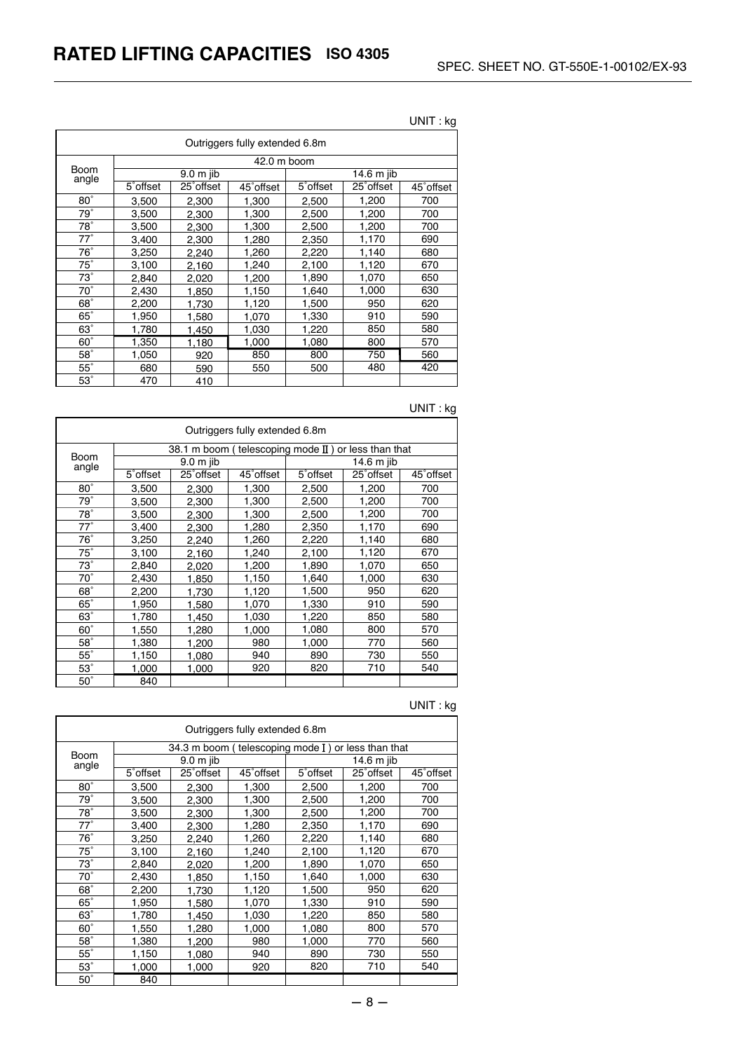| Outriggers fully extended 6.8m |                       |            |            |            |                        |            |  |
|--------------------------------|-----------------------|------------|------------|------------|------------------------|------------|--|
|                                | 42.0 m boom           |            |            |            |                        |            |  |
| Boom<br>angle                  | $9.0m$ jib            |            |            | 14.6 m jib |                        |            |  |
|                                | 5 <sup>°</sup> offset | 25° offset | 45° offset | 5° offset  | 25 <sup>°</sup> offset | 45° offset |  |
| $80^\circ$                     | 3,500                 | 2,300      | 1,300      | 2,500      | 1,200                  | 700        |  |
| $79^\circ$                     | 3,500                 | 2,300      | 1,300      | 2,500      | 1,200                  | 700        |  |
| $78^\circ$                     | 3,500                 | 2,300      | 1,300      | 2,500      | 1,200                  | 700        |  |
| $77^\circ$                     | 3,400                 | 2,300      | 1,280      | 2,350      | 1,170                  | 690        |  |
| $76^\circ$                     | 3,250                 | 2,240      | 1,260      | 2,220      | 1,140                  | 680        |  |
| $75^\circ$                     | 3,100                 | 2,160      | 1,240      | 2,100      | 1,120                  | 670        |  |
| $73^\circ$                     | 2,840                 | 2.020      | 1,200      | 1,890      | 1,070                  | 650        |  |
| $70^\circ$                     | 2,430                 | 1,850      | 1,150      | 1,640      | 1,000                  | 630        |  |
| $68^\circ$                     | 2,200                 | 1,730      | 1,120      | 1,500      | 950                    | 620        |  |
| $65^\circ$                     | 1,950                 | 1,580      | 1,070      | 1,330      | 910                    | 590        |  |
| $63^\circ$                     | 1,780                 | 1,450      | 1,030      | 1,220      | 850                    | 580        |  |
| $60^\circ$                     | 1,350                 | 1,180      | 1,000      | 1,080      | 800                    | 570        |  |
| $58^\circ$                     | 1,050                 | 920        | 850        | 800        | 750                    | 560        |  |
| $55^\circ$                     | 680                   | 590        | 550        | 500        | 480                    | 420        |  |
| $53^\circ$                     | 470                   | 410        |            |            |                        |            |  |

## UNIT : kg

## UNIT : kg

| Outriggers fully extended 6.8m |                                                               |                        |            |                       |            |            |  |
|--------------------------------|---------------------------------------------------------------|------------------------|------------|-----------------------|------------|------------|--|
|                                | 38.1 m boom (telescoping mode $\mathbb I$ ) or less than that |                        |            |                       |            |            |  |
| <b>Boom</b><br>angle           | $9.0m$ jib                                                    |                        |            | 14.6 m jib            |            |            |  |
|                                | 5° offset                                                     | 25 <sup>°</sup> offset | 45° offset | 5 <sup>°</sup> offset | 25° offset | 45° offset |  |
| $80^\circ$                     | 3,500                                                         | 2,300                  | 1,300      | 2,500                 | 1,200      | 700        |  |
| $79^\circ$                     | 3,500                                                         | 2,300                  | 1,300      | 2,500                 | 1,200      | 700        |  |
| $\overline{78}$ °              | 3,500                                                         | 2,300                  | 1,300      | 2,500                 | 1,200      | 700        |  |
| $77^\circ$                     | 3,400                                                         | 2,300                  | 1,280      | 2,350                 | 1,170      | 690        |  |
| $76^\circ$                     | 3,250                                                         | 2,240                  | 1,260      | 2,220                 | 1,140      | 680        |  |
| $75^\circ$                     | 3,100                                                         | 2,160                  | 1,240      | 2,100                 | 1,120      | 670        |  |
| $73^\circ$                     | 2,840                                                         | 2,020                  | 1,200      | 1,890                 | 1,070      | 650        |  |
| $70^\circ$                     | 2,430                                                         | 1,850                  | 1,150      | 1,640                 | 1,000      | 630        |  |
| $68^\circ$                     | 2,200                                                         | 1.730                  | 1,120      | 1,500                 | 950        | 620        |  |
| $65^\circ$                     | 1,950                                                         | 1,580                  | 1,070      | 1,330                 | 910        | 590        |  |
| $63^\circ$                     | 1,780                                                         | 1,450                  | 1,030      | 1,220                 | 850        | 580        |  |
| $60^\circ$                     | 1,550                                                         | 1,280                  | 1,000      | 1,080                 | 800        | 570        |  |
| $58^\circ$                     | 1,380                                                         | 1,200                  | 980        | 1,000                 | 770        | 560        |  |
| $55^\circ$                     | 1,150                                                         | 1,080                  | 940        | 890                   | 730        | 550        |  |
| $53^\circ$                     | 1,000                                                         | 1,000                  | 920        | 820                   | 710        | 540        |  |
| $50^\circ$                     | 840                                                           |                        |            |                       |            |            |  |

| Outriggers fully extended 6.8m |                       |                                                    |           |                       |            |            |  |  |
|--------------------------------|-----------------------|----------------------------------------------------|-----------|-----------------------|------------|------------|--|--|
|                                |                       | 34.3 m boom (telescoping mode I) or less than that |           |                       |            |            |  |  |
| Boom<br>angle                  | $9.0m$ jib            |                                                    |           | 14.6 m jib            |            |            |  |  |
|                                | 5 <sup>°</sup> offset | 25° offset                                         | 45°offset | 5 <sup>°</sup> offset | 25° offset | 45° offset |  |  |
| $80^\circ$                     | 3,500                 | 2,300                                              | 1,300     | 2,500                 | 1,200      | 700        |  |  |
| 79°                            | 3,500                 | 2,300                                              | 1,300     | 2,500                 | 1,200      | 700        |  |  |
| $78^\circ$                     | 3,500                 | 2,300                                              | 1,300     | 2,500                 | 1,200      | 700        |  |  |
| $77^\circ$                     | 3,400                 | 2,300                                              | 1,280     | 2,350                 | 1,170      | 690        |  |  |
| $76^\circ$                     | 3,250                 | 2,240                                              | 1,260     | 2,220                 | 1,140      | 680        |  |  |
| $75^\circ$                     | 3,100                 | 2,160                                              | 1,240     | 2,100                 | 1,120      | 670        |  |  |
| $73^\circ$                     | 2,840                 | 2,020                                              | 1,200     | 1,890                 | 1,070      | 650        |  |  |
| $\overline{70}$ °              | 2,430                 | 1,850                                              | 1,150     | 1,640                 | 1,000      | 630        |  |  |
| $68^\circ$                     | 2,200                 | 1,730                                              | 1,120     | 1,500                 | 950        | 620        |  |  |
| $65^\circ$                     | 1,950                 | 1,580                                              | 1,070     | 1,330                 | 910        | 590        |  |  |
| $63^\circ$                     | 1,780                 | 1,450                                              | 1,030     | 1,220                 | 850        | 580        |  |  |
| $60^\circ$                     | 1,550                 | 1,280                                              | 1,000     | 1,080                 | 800        | 570        |  |  |
| $58^\circ$                     | 1,380                 | 1,200                                              | 980       | 1,000                 | 770        | 560        |  |  |
| $55^\circ$                     | 1,150                 | 1,080                                              | 940       | 890                   | 730        | 550        |  |  |
| $53^\circ$                     | 1,000                 | 1,000                                              | 920       | 820                   | 710        | 540        |  |  |
| $50^\circ$                     | 840                   |                                                    |           |                       |            |            |  |  |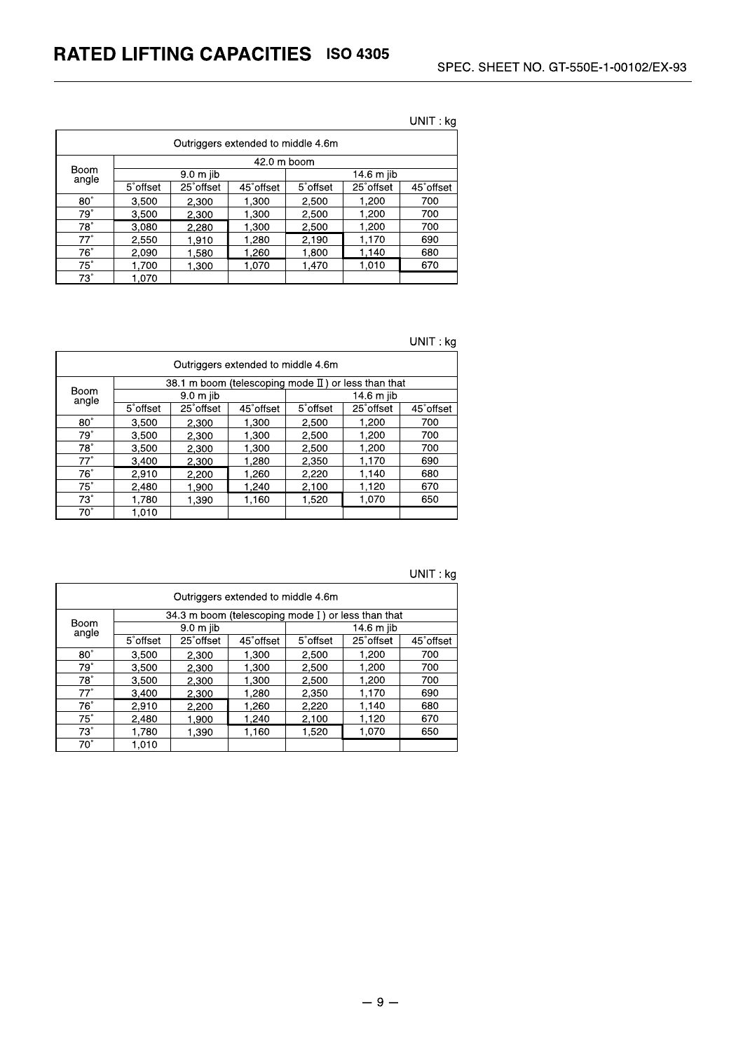|                                    |                       |                        |            |            |            | ~          |  |  |
|------------------------------------|-----------------------|------------------------|------------|------------|------------|------------|--|--|
| Outriggers extended to middle 4.6m |                       |                        |            |            |            |            |  |  |
|                                    |                       | 42.0 m boom            |            |            |            |            |  |  |
| Boom<br>angle                      | 9.0 m jib             |                        |            | 14.6 m jib |            |            |  |  |
|                                    | 5 <sup>°</sup> offset | 25 <sup>°</sup> offset | 45° offset | 5° offset  | 25° offset | 45° offset |  |  |
| $80^\circ$                         | 3.500                 | 2.300                  | 1,300      | 2,500      | 1,200      | 700        |  |  |
| $79^\circ$                         | 3,500                 | 2.300                  | 1,300      | 2,500      | 1,200      | 700        |  |  |
| 78°                                | 3.080                 | 2.280                  | 1,300      | 2,500      | 1,200      | 700        |  |  |
| $77^\circ$                         | 2,550                 | 1.910                  | 1,280      | 2,190      | 1,170      | 690        |  |  |
| $76^\circ$                         | 2,090                 | 1.580                  | 1,260      | 1,800      | 1,140      | 680        |  |  |
| $75^\circ$                         | 1.700                 | 1.300                  | 1.070      | 1,470      | 1,010      | 670        |  |  |
| 73°                                | 1,070                 |                        |            |            |            |            |  |  |

UNIT: kg

UNIT: kg

| Outriggers extended to middle 4.6m |                       |                                                        |            |                       |                        |            |  |
|------------------------------------|-----------------------|--------------------------------------------------------|------------|-----------------------|------------------------|------------|--|
|                                    |                       | 38.1 m boom (telescoping mode $II$ ) or less than that |            |                       |                        |            |  |
| Boom<br>angle                      | 9.0 m jib             |                                                        |            | 14.6 m jib            |                        |            |  |
|                                    | 5 <sup>°</sup> offset | 25° offset                                             | 45° offset | 5 <sup>°</sup> offset | 25 <sup>°</sup> offset | 45° offset |  |
| $80^\circ$                         | 3.500                 | 2,300                                                  | 1,300      | 2.500                 | 1.200                  | 700        |  |
| $79^{\circ}$                       | 3.500                 | 2.300                                                  | 1,300      | 2,500                 | 1,200                  | 700        |  |
| $78^\circ$                         | 3,500                 | 2,300                                                  | 1,300      | 2,500                 | 1.200                  | 700        |  |
| $77^\circ$                         | 3,400                 | 2.300                                                  | 1,280      | 2,350                 | 1.170                  | 690        |  |
| $76^\circ$                         | 2,910                 | 2,200                                                  | 1,260      | 2,220                 | 1,140                  | 680        |  |
| $75^\circ$                         | 2.480                 | 1.900                                                  | 1,240      | 2.100                 | 1,120                  | 670        |  |
| $73^\circ$                         | 1,780                 | 1.390                                                  | 1,160      | 1,520                 | 1,070                  | 650        |  |
| $70^\circ$                         | 1.010                 |                                                        |            |                       |                        |            |  |

| ∵ kg | UNIT : |  |  |
|------|--------|--|--|
|------|--------|--|--|

| Outriggers extended to middle 4.6m |                       |                                                    |            |                       |                        |            |  |
|------------------------------------|-----------------------|----------------------------------------------------|------------|-----------------------|------------------------|------------|--|
|                                    |                       | 34.3 m boom (telescoping mode I) or less than that |            |                       |                        |            |  |
| Boom<br>angle                      | 9.0 m jib             |                                                    |            | 14.6 m jib            |                        |            |  |
|                                    | 5 <sup>°</sup> offset | 25 <sup>°</sup> offset                             | 45° offset | 5 <sup>°</sup> offset | 25 <sup>°</sup> offset | 45° offset |  |
| $80^\circ$                         | 3.500                 | 2.300                                              | 1.300      | 2.500                 | 1,200                  | 700        |  |
| $79^\circ$                         | 3.500                 | 2.300                                              | 1.300      | 2,500                 | 1,200                  | 700        |  |
| $78^\circ$                         | 3.500                 | 2.300                                              | 1,300      | 2,500                 | 1.200                  | 700        |  |
| $77^\circ$                         | 3,400                 | 2,300                                              | 1,280      | 2,350                 | 1,170                  | 690        |  |
| $76^\circ$                         | 2,910                 | 2,200                                              | 1,260      | 2,220                 | 1.140                  | 680        |  |
| $75^\circ$                         | 2,480                 | 1.900                                              | 1,240      | 2,100                 | 1,120                  | 670        |  |
| $73^\circ$                         | 1,780                 | 1.390                                              | 1.160      | 1,520                 | 1,070                  | 650        |  |
| $70^\circ$                         | 1.010                 |                                                    |            |                       |                        |            |  |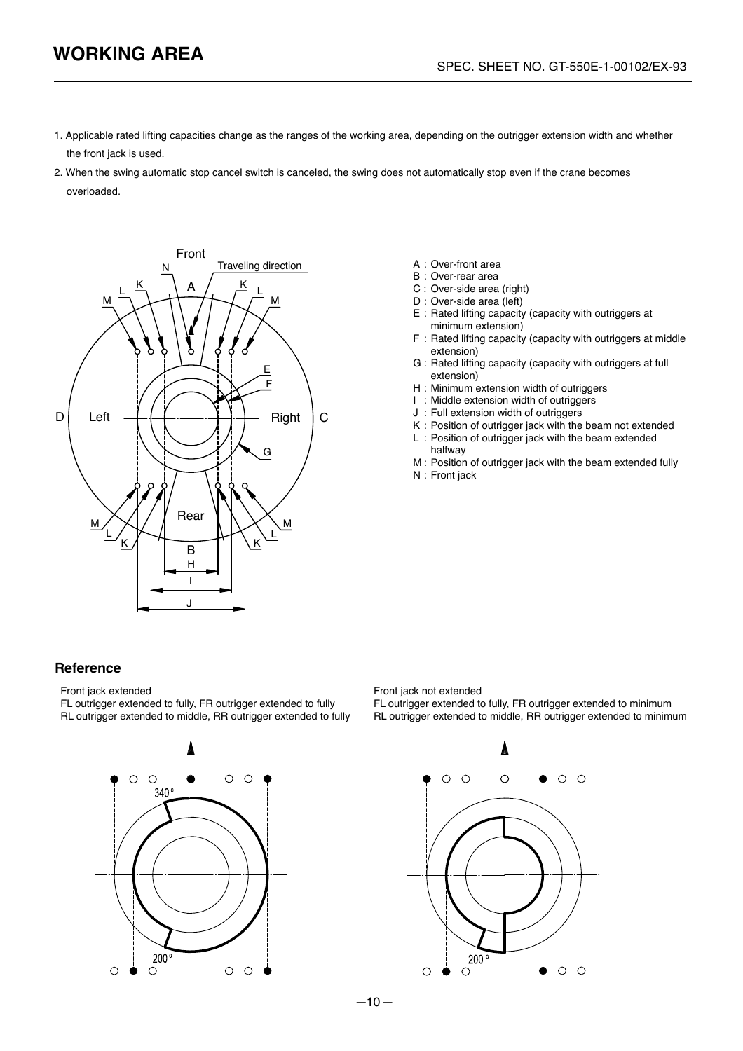- 1. Applicable rated lifting capacities change as the ranges of the working area, depending on the outrigger extension width and whether the front jack is used.
- 2. When the swing automatic stop cancel switch is canceled, the swing does not automatically stop even if the crane becomes overloaded.



- 
- B : Over-rear area
- C : Over-side area (right)
- D : Over-side area (left)
- E : Rated lifting capacity (capacity with outriggers at minimum extension)
- F : Rated lifting capacity (capacity with outriggers at middle extension)
- G : Rated lifting capacity (capacity with outriggers at full extension)
- H : Minimum extension width of outriggers
- I : Middle extension width of outriggers
- J : Full extension width of outriggers
- K : Position of outrigger jack with the beam not extended
- L : Position of outrigger jack with the beam extended halfway
- M : Position of outrigger jack with the beam extended fully
- N : Front jack

## **Reference**

Front jack extended

FL outrigger extended to fully, FR outrigger extended to fully RL outrigger extended to middle, RR outrigger extended to fully



Front jack not extended

FL outrigger extended to fully, FR outrigger extended to minimum RL outrigger extended to middle, RR outrigger extended to minimum

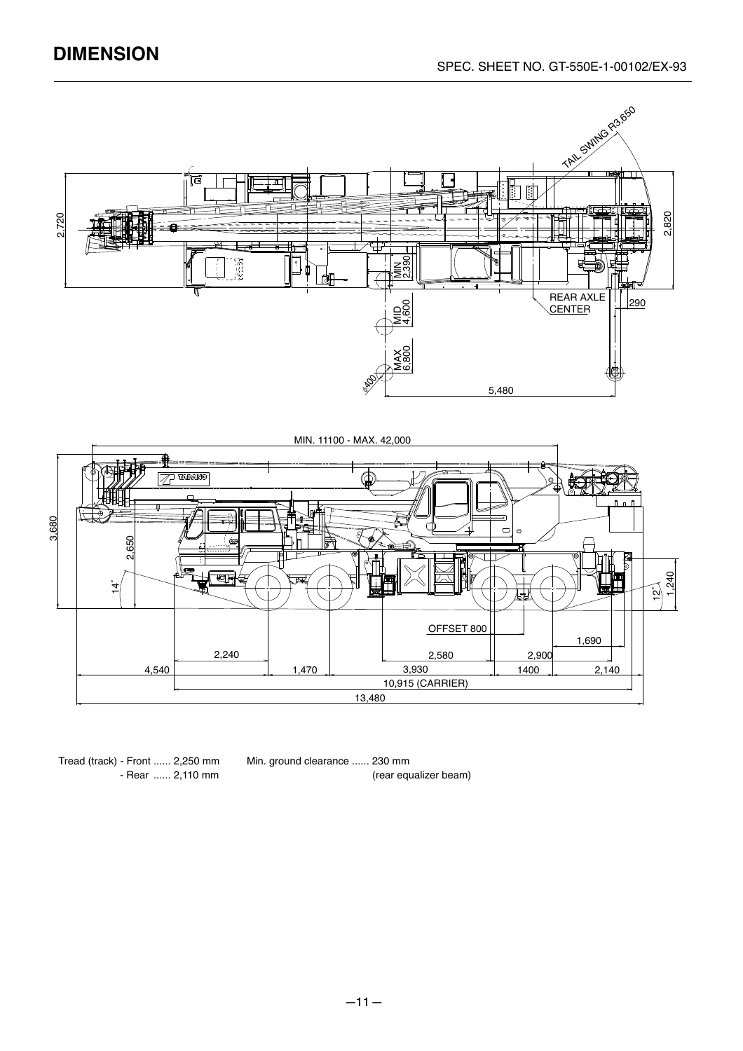# **DIMENSION**



Tread (track) - Front ...... 2,250 mm - Rear ...... 2,110 mm

Min. ground clearance ...... 230 mm (rear equalizer beam)